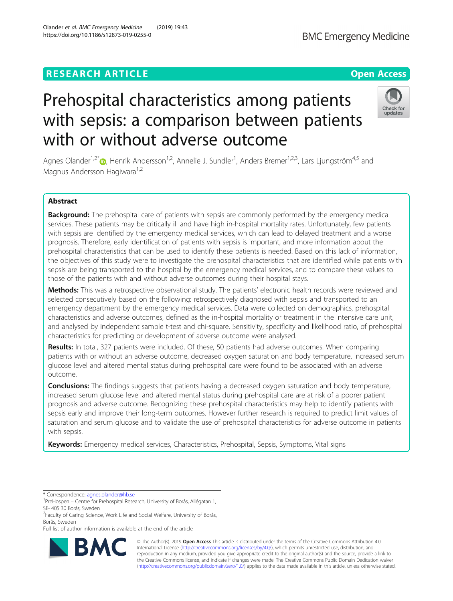## **RESEARCH ARTICLE Example 2014 12:30 The Contract of Contract ACCESS**

# Prehospital characteristics among patients with sepsis: a comparison between patients with or without adverse outcome

Agnes Olander<sup>1[,](http://orcid.org/0000-0003-3624-1087)2\*</sup>®, Henrik Andersson<sup>1,2</sup>, Annelie J. Sundler<sup>1</sup>, Anders Bremer<sup>1,2,3</sup>, Lars Ljungström<sup>4,5</sup> and Magnus Andersson Hagiwara<sup>1,2</sup>

## Abstract

**Background:** The prehospital care of patients with sepsis are commonly performed by the emergency medical services. These patients may be critically ill and have high in-hospital mortality rates. Unfortunately, few patients with sepsis are identified by the emergency medical services, which can lead to delayed treatment and a worse prognosis. Therefore, early identification of patients with sepsis is important, and more information about the prehospital characteristics that can be used to identify these patients is needed. Based on this lack of information, the objectives of this study were to investigate the prehospital characteristics that are identified while patients with sepsis are being transported to the hospital by the emergency medical services, and to compare these values to those of the patients with and without adverse outcomes during their hospital stays.

Methods: This was a retrospective observational study. The patients' electronic health records were reviewed and selected consecutively based on the following: retrospectively diagnosed with sepsis and transported to an emergency department by the emergency medical services. Data were collected on demographics, prehospital characteristics and adverse outcomes, defined as the in-hospital mortality or treatment in the intensive care unit, and analysed by independent sample t-test and chi-square. Sensitivity, specificity and likelihood ratio, of prehospital characteristics for predicting or development of adverse outcome were analysed.

Results: In total, 327 patients were included. Of these, 50 patients had adverse outcomes. When comparing patients with or without an adverse outcome, decreased oxygen saturation and body temperature, increased serum glucose level and altered mental status during prehospital care were found to be associated with an adverse outcome.

**Conclusions:** The findings suggests that patients having a decreased oxygen saturation and body temperature, increased serum glucose level and altered mental status during prehospital care are at risk of a poorer patient prognosis and adverse outcome. Recognizing these prehospital characteristics may help to identify patients with sepsis early and improve their long-term outcomes. However further research is required to predict limit values of saturation and serum glucose and to validate the use of prehospital characteristics for adverse outcome in patients with sepsis.

Keywords: Emergency medical services, Characteristics, Prehospital, Sepsis, Symptoms, Vital signs

\* Correspondence: [agnes.olander@hb.se](mailto:agnes.olander@hb.se) <sup>1</sup>

<sup>2</sup>Faculty of Caring Science, Work Life and Social Welfare, University of Borås, Borås, Sweden

Full list of author information is available at the end of the article

© The Author(s). 2019 **Open Access** This article is distributed under the terms of the Creative Commons Attribution 4.0 International License [\(http://creativecommons.org/licenses/by/4.0/](http://creativecommons.org/licenses/by/4.0/)), which permits unrestricted use, distribution, and reproduction in any medium, provided you give appropriate credit to the original author(s) and the source, provide a link to the Creative Commons license, and indicate if changes were made. The Creative Commons Public Domain Dedication waiver [\(http://creativecommons.org/publicdomain/zero/1.0/](http://creativecommons.org/publicdomain/zero/1.0/)) applies to the data made available in this article, unless otherwise stated.





PreHospen – Centre for Prehospital Research, University of Borås, Allégatan 1, SE- 405 30 Borås, Sweden

Olander et al. BMC Emergency Medicine (2019) 19:43 https://doi.org/10.1186/s12873-019-0255-0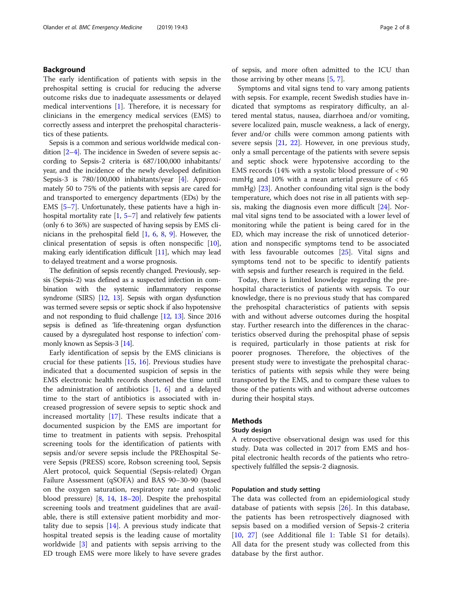## Background

The early identification of patients with sepsis in the prehospital setting is crucial for reducing the adverse outcome risks due to inadequate assessments or delayed medical interventions [\[1\]](#page-6-0). Therefore, it is necessary for clinicians in the emergency medical services (EMS) to correctly assess and interpret the prehospital characteristics of these patients.

Sepsis is a common and serious worldwide medical condition [\[2](#page-6-0)–[4\]](#page-6-0). The incidence in Sweden of severe sepsis according to Sepsis-2 criteria is 687/100,000 inhabitants/ year, and the incidence of the newly developed definition Sepsis-3 is 780/100,000 inhabitants/year [[4](#page-6-0)]. Approximately 50 to 75% of the patients with sepsis are cared for and transported to emergency departments (EDs) by the EMS [\[5](#page-6-0)–[7](#page-6-0)]. Unfortunately, these patients have a high inhospital mortality rate  $[1, 5-7]$  $[1, 5-7]$  $[1, 5-7]$  $[1, 5-7]$  $[1, 5-7]$  $[1, 5-7]$  $[1, 5-7]$  and relatively few patients (only 6 to 36%) are suspected of having sepsis by EMS clinicians in the prehospital field [[1,](#page-6-0) [6,](#page-6-0) [8](#page-6-0), [9](#page-6-0)]. However, the clinical presentation of sepsis is often nonspecific [[10](#page-6-0)], making early identification difficult [\[11\]](#page-6-0), which may lead to delayed treatment and a worse prognosis.

The definition of sepsis recently changed. Previously, sepsis (Sepsis-2) was defined as a suspected infection in combination with the systemic inflammatory response syndrome (SIRS) [\[12,](#page-6-0) [13\]](#page-6-0). Sepsis with organ dysfunction was termed severe sepsis or septic shock if also hypotensive and not responding to fluid challenge [\[12,](#page-6-0) [13\]](#page-6-0). Since 2016 sepsis is defined as 'life-threatening organ dysfunction caused by a dysregulated host response to infection' commonly known as Sepsis-3 [\[14\]](#page-6-0).

Early identification of sepsis by the EMS clinicians is crucial for these patients [[15,](#page-6-0) [16](#page-6-0)]. Previous studies have indicated that a documented suspicion of sepsis in the EMS electronic health records shortened the time until the administration of antibiotics  $[1, 6]$  $[1, 6]$  $[1, 6]$  $[1, 6]$  and a delayed time to the start of antibiotics is associated with increased progression of severe sepsis to septic shock and increased mortality [[17\]](#page-6-0). These results indicate that a documented suspicion by the EMS are important for time to treatment in patients with sepsis. Prehospital screening tools for the identification of patients with sepsis and/or severe sepsis include the PREhospital Severe Sepsis (PRESS) score, Robson screening tool, Sepsis Alert protocol, quick Sequential (Sepsis-related) Organ Failure Assessment (qSOFA) and BAS 90–30-90 (based on the oxygen saturation, respiratory rate and systolic blood pressure) [\[8](#page-6-0), [14,](#page-6-0) [18](#page-6-0)–[20\]](#page-7-0). Despite the prehospital screening tools and treatment guidelines that are available, there is still extensive patient morbidity and mortality due to sepsis  $[14]$  $[14]$ . A previous study indicate that hospital treated sepsis is the leading cause of mortality worldwide [\[3](#page-6-0)] and patients with sepsis arriving to the ED trough EMS were more likely to have severe grades of sepsis, and more often admitted to the ICU than those arriving by other means [\[5](#page-6-0), [7](#page-6-0)].

Symptoms and vital signs tend to vary among patients with sepsis. For example, recent Swedish studies have indicated that symptoms as respiratory difficulty, an altered mental status, nausea, diarrhoea and/or vomiting, severe localized pain, muscle weakness, a lack of energy, fever and/or chills were common among patients with severe sepsis [\[21](#page-7-0), [22\]](#page-7-0). However, in one previous study, only a small percentage of the patients with severe sepsis and septic shock were hypotensive according to the EMS records (14% with a systolic blood pressure of < 90 mmHg and 10% with a mean arterial pressure of  $< 65$ mmHg) [[23\]](#page-7-0). Another confounding vital sign is the body temperature, which does not rise in all patients with sepsis, making the diagnosis even more difficult [[24\]](#page-7-0). Normal vital signs tend to be associated with a lower level of monitoring while the patient is being cared for in the ED, which may increase the risk of unnoticed deterioration and nonspecific symptoms tend to be associated with less favourable outcomes [[25\]](#page-7-0). Vital signs and symptoms tend not to be specific to identify patients with sepsis and further research is required in the field.

Today, there is limited knowledge regarding the prehospital characteristics of patients with sepsis. To our knowledge, there is no previous study that has compared the prehospital characteristics of patients with sepsis with and without adverse outcomes during the hospital stay. Further research into the differences in the characteristics observed during the prehospital phase of sepsis is required, particularly in those patients at risk for poorer prognoses. Therefore, the objectives of the present study were to investigate the prehospital characteristics of patients with sepsis while they were being transported by the EMS, and to compare these values to those of the patients with and without adverse outcomes during their hospital stays.

## **Methods**

## Study design

A retrospective observational design was used for this study. Data was collected in 2017 from EMS and hospital electronic health records of the patients who retrospectively fulfilled the sepsis-2 diagnosis.

#### Population and study setting

The data was collected from an epidemiological study database of patients with sepsis  $[26]$  $[26]$ . In this database, the patients has been retrospectively diagnosed with sepsis based on a modified version of Sepsis-2 criteria [[10,](#page-6-0) [27\]](#page-7-0) (see Additional file [1](#page-6-0): Table S1 for details). All data for the present study was collected from this database by the first author.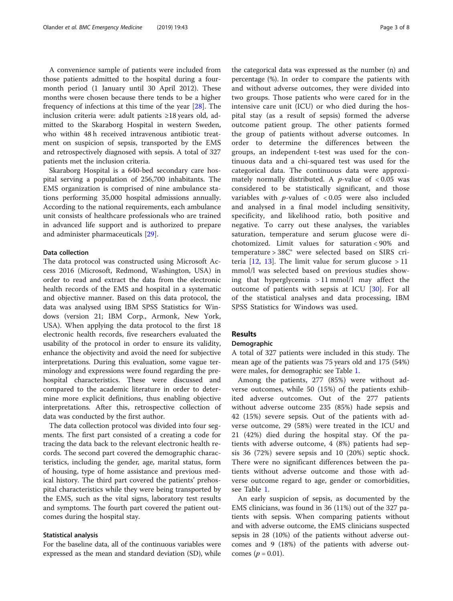A convenience sample of patients were included from those patients admitted to the hospital during a fourmonth period (1 January until 30 April 2012). These months were chosen because there tends to be a higher frequency of infections at this time of the year [[28\]](#page-7-0). The inclusion criteria were: adult patients ≥18 years old, admitted to the Skaraborg Hospital in western Sweden, who within 48 h received intravenous antibiotic treatment on suspicion of sepsis, transported by the EMS and retrospectively diagnosed with sepsis. A total of 327 patients met the inclusion criteria.

Skaraborg Hospital is a 640-bed secondary care hospital serving a population of 256,700 inhabitants. The EMS organization is comprised of nine ambulance stations performing 35,000 hospital admissions annually. According to the national requirements, each ambulance unit consists of healthcare professionals who are trained in advanced life support and is authorized to prepare and administer pharmaceuticals [\[29](#page-7-0)].

## Data collection

The data protocol was constructed using Microsoft Access 2016 (Microsoft, Redmond, Washington, USA) in order to read and extract the data from the electronic health records of the EMS and hospital in a systematic and objective manner. Based on this data protocol, the data was analysed using IBM SPSS Statistics for Windows (version 21; IBM Corp., Armonk, New York, USA). When applying the data protocol to the first 18 electronic health records, five researchers evaluated the usability of the protocol in order to ensure its validity, enhance the objectivity and avoid the need for subjective interpretations. During this evaluation, some vague terminology and expressions were found regarding the prehospital characteristics. These were discussed and compared to the academic literature in order to determine more explicit definitions, thus enabling objective interpretations. After this, retrospective collection of data was conducted by the first author.

The data collection protocol was divided into four segments. The first part consisted of a creating a code for tracing the data back to the relevant electronic health records. The second part covered the demographic characteristics, including the gender, age, marital status, form of housing, type of home assistance and previous medical history. The third part covered the patients' prehospital characteristics while they were being transported by the EMS, such as the vital signs, laboratory test results and symptoms. The fourth part covered the patient outcomes during the hospital stay.

## Statistical analysis

For the baseline data, all of the continuous variables were expressed as the mean and standard deviation (SD), while

the categorical data was expressed as the number (n) and percentage (%). In order to compare the patients with and without adverse outcomes, they were divided into two groups. Those patients who were cared for in the intensive care unit (ICU) or who died during the hospital stay (as a result of sepsis) formed the adverse outcome patient group. The other patients formed the group of patients without adverse outcomes. In order to determine the differences between the groups, an independent t-test was used for the continuous data and a chi-squared test was used for the categorical data. The continuous data were approximately normally distributed. A *p*-value of  $< 0.05$  was considered to be statistically significant, and those variables with  $p$ -values of  $< 0.05$  were also included and analysed in a final model including sensitivity, specificity, and likelihood ratio, both positive and negative. To carry out these analyses, the variables saturation, temperature and serum glucose were dichotomized. Limit values for saturation < 90% and temperature > 38C° were selected based on SIRS criteria  $[12, 13]$  $[12, 13]$  $[12, 13]$  $[12, 13]$ . The limit value for serum glucose  $>11$ mmol/l was selected based on previous studies showing that hyperglycemia > 11 mmol/l may affect the outcome of patients with sepsis at ICU [[30\]](#page-7-0). For all of the statistical analyses and data processing, IBM SPSS Statistics for Windows was used.

## Results

#### Demographic

A total of 327 patients were included in this study. The mean age of the patients was 75 years old and 175 (54%) were males, for demographic see Table [1](#page-3-0).

Among the patients, 277 (85%) were without adverse outcomes, while 50 (15%) of the patients exhibited adverse outcomes. Out of the 277 patients without adverse outcome 235 (85%) hade sepsis and 42 (15%) severe sepsis. Out of the patients with adverse outcome, 29 (58%) were treated in the ICU and 21 (42%) died during the hospital stay. Of the patients with adverse outcome, 4 (8%) patients had sepsis 36 (72%) severe sepsis and 10 (20%) septic shock. There were no significant differences between the patients without adverse outcome and those with adverse outcome regard to age, gender or comorbidities, see Table [1](#page-3-0).

An early suspicion of sepsis, as documented by the EMS clinicians, was found in 36 (11%) out of the 327 patients with sepsis. When comparing patients without and with adverse outcome, the EMS clinicians suspected sepsis in 28 (10%) of the patients without adverse outcomes and 9 (18%) of the patients with adverse outcomes ( $p = 0.01$ ).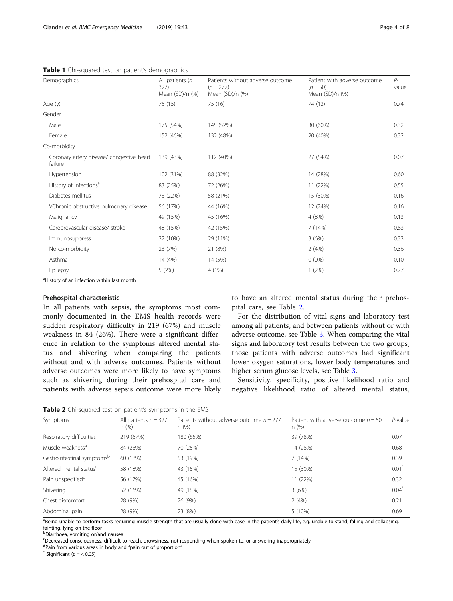<span id="page-3-0"></span>Table 1 Chi-squared test on patient's demographics

| <b>Fable 1</b> CITI Squared test on patients demographies |                                                                    |                                                               |               |  |
|-----------------------------------------------------------|--------------------------------------------------------------------|---------------------------------------------------------------|---------------|--|
| All patients $(n=$<br>327)<br>Mean (SD)/n (%)             | Patients without adverse outcome<br>$(n = 277)$<br>Mean (SD)/n (%) | Patient with adverse outcome<br>$(n = 50)$<br>Mean (SD)/n (%) | $P-$<br>value |  |
| 75 (15)                                                   | 75 (16)                                                            | 74 (12)                                                       | 0.74          |  |
|                                                           |                                                                    |                                                               |               |  |
| 175 (54%)                                                 | 145 (52%)                                                          | 30 (60%)                                                      | 0.32          |  |
| 152 (46%)                                                 | 132 (48%)                                                          | 20 (40%)                                                      | 0.32          |  |
|                                                           |                                                                    |                                                               |               |  |
| 139 (43%)<br>Coronary artery disease/ congestive heart    | 112 (40%)                                                          | 27 (54%)                                                      | 0.07          |  |
| 102 (31%)                                                 | 88 (32%)                                                           | 14 (28%)                                                      | 0.60          |  |
| 83 (25%)                                                  | 72 (26%)                                                           | 11 (22%)                                                      | 0.55          |  |
| 73 (22%)                                                  | 58 (21%)                                                           | 15 (30%)                                                      | 0.16          |  |
| 56 (17%)                                                  | 44 (16%)                                                           | 12 (24%)                                                      | 0.16          |  |
| 49 (15%)                                                  | 45 (16%)                                                           | 4(8%)                                                         | 0.13          |  |
| 48 (15%)                                                  | 42 (15%)                                                           | 7 (14%)                                                       | 0.83          |  |
| 32 (10%)                                                  | 29 (11%)                                                           | 3(6%)                                                         | 0.33          |  |
| 23 (7%)                                                   | 21 (8%)                                                            | 2(4%)                                                         | 0.36          |  |
| 14 (4%)                                                   | 14 (5%)                                                            | $0(0\%)$                                                      | 0.10          |  |
|                                                           |                                                                    |                                                               |               |  |

Epilepsy 5 (2%) 4 (1%) 1 (2%) 0.77

<sup>a</sup>History of an infection within last month

## Prehospital characteristic

In all patients with sepsis, the symptoms most commonly documented in the EMS health records were sudden respiratory difficulty in 219 (67%) and muscle weakness in 84 (26%). There were a significant difference in relation to the symptoms altered mental status and shivering when comparing the patients without and with adverse outcomes. Patients without adverse outcomes were more likely to have symptoms such as shivering during their prehospital care and patients with adverse sepsis outcome were more likely to have an altered mental status during their prehospital care, see Table 2.

For the distribution of vital signs and laboratory test among all patients, and between patients without or with adverse outcome, see Table [3.](#page-4-0) When comparing the vital signs and laboratory test results between the two groups, those patients with adverse outcomes had significant lower oxygen saturations, lower body temperatures and higher serum glucose levels, see Table [3.](#page-4-0)

Sensitivity, specificity, positive likelihood ratio and negative likelihood ratio of altered mental status,

| Table 2 Chi-squared test on patient's symptoms in the EMS |  |  |  |  |  |
|-----------------------------------------------------------|--|--|--|--|--|
|-----------------------------------------------------------|--|--|--|--|--|

| Symptoms                               | All patients $n = 327$<br>n(%) | Patients without adverse outcome $n = 277$<br>n(%) | Patient with adverse outcome $n = 50$<br>n (%) | $P$ -value          |
|----------------------------------------|--------------------------------|----------------------------------------------------|------------------------------------------------|---------------------|
| Respiratory difficulties               | 219 (67%)                      | 180 (65%)                                          | 39 (78%)                                       | 0.07                |
| Muscle weakness <sup>a</sup>           | 84 (26%)                       | 70 (25%)                                           | 14 (28%)                                       | 0.68                |
| Gastrointestinal symptoms <sup>b</sup> | 60 (18%)                       | 53 (19%)                                           | 7(14%)                                         | 0.39                |
| Altered mental status <sup>c</sup>     | 58 (18%)                       | 43 (15%)                                           | 15 (30%)                                       | $0.01$ <sup>2</sup> |
| Pain unspecified <sup>d</sup>          | 56 (17%)                       | 45 (16%)                                           | 11 (22%)                                       | 0.32                |
| Shivering                              | 52 (16%)                       | 49 (18%)                                           | 3(6%)                                          | $0.04^{\degree}$    |
| Chest discomfort                       | 28 (9%)                        | 26 (9%)                                            | 2(4%)                                          | 0.21                |
| Abdominal pain                         | 28 (9%)                        | 23 (8%)                                            | 5 (10%)                                        | 0.69                |

<sup>a</sup>Being unable to perform tasks requiring muscle strength that are usually done with ease in the patient's daily life, e.g. unable to stand, falling and collapsing, fainting, lying on the floor

b Diarrhoea, vomiting or/and nausea

c Decreased consciousness, difficult to reach, drowsiness, not responding when spoken to, or answering inappropriately

<sup>d</sup>Pain from various areas in body and "pain out of proportion"<br>\* Significant (p = < 0.05)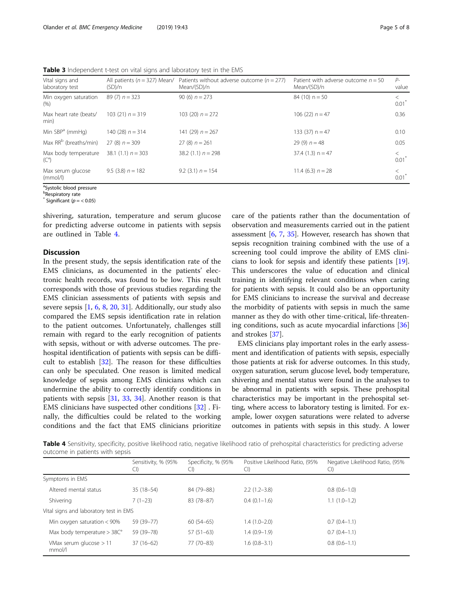| Vital signs and<br>laboratory test    | All patients ( $n = 327$ ) Mean/<br>(SD)/n | Patients without adverse outcome ( $n = 277$ )<br>Mean/(SD)/n | Patient with adverse outcome $n = 50$<br>Mean/(SD)/n | $P-$<br>value                  |
|---------------------------------------|--------------------------------------------|---------------------------------------------------------------|------------------------------------------------------|--------------------------------|
| Min oxygen saturation<br>(% )         | 89 $(7) n = 323$                           | 90 (6) $n = 273$                                              | $84(10) n = 50$                                      | $\,<\,$<br>$0.01$ <sup>*</sup> |
| Max heart rate (beats/<br>min)        | 103 $(21) n = 319$                         | 103 (20) $n = 272$                                            | 106 (22) $n = 47$                                    | 0.36                           |
| Min SBP <sup>a</sup> (mmHg)           | 140 (28) $n = 314$                         | 141 (29) $n = 267$                                            | 133 $(37) n = 47$                                    | 0.10                           |
| Max RR <sup>b</sup> (breaths/min)     | 27 (8) $n = 309$                           | 27 (8) $n = 261$                                              | 29 (9) $n = 48$                                      | 0.05                           |
| Max body temperature<br>$(C^{\circ})$ | 38.1 $(1.1)$ $n = 303$                     | 38.2 $(1.1)$ $n = 298$                                        | $37.4(1.3) n = 47$                                   | $\lt$<br>$0.01$ <sup>*</sup>   |
| Max serum glucose<br>(mmol/l)         | $9.5$ (3.8) $n = 182$                      | 9.2 (3.1) $n = 154$                                           | 11.4 (6.3) $n = 28$                                  | $\,<\,$<br>$0.01$ <sup>*</sup> |

<span id="page-4-0"></span>Table 3 Independent t-test on vital signs and laboratory test in the EMS

<sup>a</sup>Systolic blood pressure

<sup>b</sup>Respiratory rate

Significant ( $p = < 0.05$ )

shivering, saturation, temperature and serum glucose for predicting adverse outcome in patients with sepsis are outlined in Table 4.

## **Discussion**

In the present study, the sepsis identification rate of the EMS clinicians, as documented in the patients' electronic health records, was found to be low. This result corresponds with those of previous studies regarding the EMS clinician assessments of patients with sepsis and severe sepsis [[1](#page-6-0), [6](#page-6-0), [8](#page-6-0), [20](#page-7-0), [31](#page-7-0)]. Additionally, our study also compared the EMS sepsis identification rate in relation to the patient outcomes. Unfortunately, challenges still remain with regard to the early recognition of patients with sepsis, without or with adverse outcomes. The prehospital identification of patients with sepsis can be difficult to establish [\[32](#page-7-0)]. The reason for these difficulties can only be speculated. One reason is limited medical knowledge of sepsis among EMS clinicians which can undermine the ability to correctly identify conditions in patients with sepsis [\[31,](#page-7-0) [33,](#page-7-0) [34](#page-7-0)]. Another reason is that EMS clinicians have suspected other conditions [\[32](#page-7-0)] . Finally, the difficulties could be related to the working conditions and the fact that EMS clinicians prioritize care of the patients rather than the documentation of observation and measurements carried out in the patient assessment  $[6, 7, 35]$  $[6, 7, 35]$  $[6, 7, 35]$  $[6, 7, 35]$  $[6, 7, 35]$  $[6, 7, 35]$  $[6, 7, 35]$ . However, research has shown that sepsis recognition training combined with the use of a screening tool could improve the ability of EMS clinicians to look for sepsis and identify these patients [\[19](#page-6-0)]. This underscores the value of education and clinical training in identifying relevant conditions when caring for patients with sepsis. It could also be an opportunity for EMS clinicians to increase the survival and decrease the morbidity of patients with sepsis in much the same manner as they do with other time-critical, life-threatening conditions, such as acute myocardial infarctions [[36](#page-7-0)] and strokes [[37](#page-7-0)].

EMS clinicians play important roles in the early assessment and identification of patients with sepsis, especially those patients at risk for adverse outcomes. In this study, oxygen saturation, serum glucose level, body temperature, shivering and mental status were found in the analyses to be abnormal in patients with sepsis. These prehospital characteristics may be important in the prehospital setting, where access to laboratory testing is limited. For example, lower oxygen saturations were related to adverse outcomes in patients with sepsis in this study. A lower

Table 4 Sensitivity, specificity, positive likelihood ratio, negative likelihood ratio of prehospital characteristics for predicting adverse outcome in patients with sepsis

|                                         | Sensitivity, % (95%<br>Cl | Specificity, % (95%<br>CI) | Positive Likelihood Ratio, (95%<br>CI) | Negative Likelihood Ratio, (95%<br>$\bigcup$ |
|-----------------------------------------|---------------------------|----------------------------|----------------------------------------|----------------------------------------------|
| Symptoms in EMS                         |                           |                            |                                        |                                              |
| Altered mental status                   | $35(18-54)$               | 84 (79-88.)                | $2.2(1.2-3.8)$                         | $0.8(0.6-1.0)$                               |
| Shivering                               | $7(1-23)$                 | $83(78-87)$                | $0.4(0.1-1.6)$                         | $1.1(1.0-1.2)$                               |
| Vital signs and laboratory test in EMS  |                           |                            |                                        |                                              |
| Min oxygen saturation $< 90\%$          | 59 (39-77)                | $60(54-65)$                | $1.4(1.0-2.0)$                         | $0.7(0.4-1.1)$                               |
| Max body temperature $>$ 38 $C^{\circ}$ | 59 (39-78)                | $57(51-63)$                | 1.4 (0.9–1.9)                          | $0.7(0.4-1.1)$                               |
| VMax serum glucose $>11$<br>mmol/l      | $37(16-62)$               | 77 (70-83)                 | $1.6(0.8-3.1)$                         | $0.8(0.6-1.1)$                               |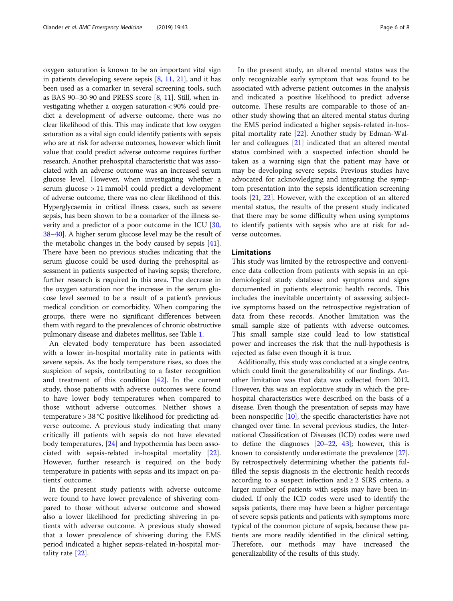oxygen saturation is known to be an important vital sign in patients developing severe sepsis [[8,](#page-6-0) [11,](#page-6-0) [21\]](#page-7-0), and it has been used as a comarker in several screening tools, such as BAS 90–30-90 and PRESS score [[8](#page-6-0), [11](#page-6-0)]. Still, when investigating whether a oxygen saturation < 90% could predict a development of adverse outcome, there was no clear likelihood of this. This may indicate that low oxygen saturation as a vital sign could identify patients with sepsis who are at risk for adverse outcomes, however which limit value that could predict adverse outcome requires further research. Another prehospital characteristic that was associated with an adverse outcome was an increased serum glucose level. However, when investigating whether a serum glucose > 11 mmol/l could predict a development of adverse outcome, there was no clear likelihood of this. Hyperglycaemia in critical illness cases, such as severe sepsis, has been shown to be a comarker of the illness severity and a predictor of a poor outcome in the ICU [[30](#page-7-0), [38](#page-7-0)–[40\]](#page-7-0). A higher serum glucose level may be the result of the metabolic changes in the body caused by sepsis [[41](#page-7-0)]. There have been no previous studies indicating that the serum glucose could be used during the prehospital assessment in patients suspected of having sepsis; therefore, further research is required in this area. The decrease in the oxygen saturation nor the increase in the serum glucose level seemed to be a result of a patient's previous medical condition or comorbidity. When comparing the groups, there were no significant differences between them with regard to the prevalences of chronic obstructive pulmonary disease and diabetes mellitus, see Table [1](#page-3-0).

An elevated body temperature has been associated with a lower in-hospital mortality rate in patients with severe sepsis. As the body temperature rises, so does the suspicion of sepsis, contributing to a faster recognition and treatment of this condition  $[42]$  $[42]$ . In the current study, those patients with adverse outcomes were found to have lower body temperatures when compared to those without adverse outcomes. Neither shows a temperature > 38 °C positive likelihood for predicting adverse outcome. A previous study indicating that many critically ill patients with sepsis do not have elevated body temperatures, [[24\]](#page-7-0) and hypothermia has been associated with sepsis-related in-hospital mortality [\[22](#page-7-0)]. However, further research is required on the body temperature in patients with sepsis and its impact on patients' outcome.

In the present study patients with adverse outcome were found to have lower prevalence of shivering compared to those without adverse outcome and showed also a lower likelihood for predicting shivering in patients with adverse outcome. A previous study showed that a lower prevalence of shivering during the EMS period indicated a higher sepsis-related in-hospital mortality rate [[22](#page-7-0)].

In the present study, an altered mental status was the only recognizable early symptom that was found to be associated with adverse patient outcomes in the analysis and indicated a positive likelihood to predict adverse outcome. These results are comparable to those of another study showing that an altered mental status during the EMS period indicated a higher sepsis-related in-hospital mortality rate [\[22\]](#page-7-0). Another study by Edman-Waller and colleagues [[21\]](#page-7-0) indicated that an altered mental status combined with a suspected infection should be taken as a warning sign that the patient may have or may be developing severe sepsis. Previous studies have advocated for acknowledging and integrating the symptom presentation into the sepsis identification screening tools [[21,](#page-7-0) [22](#page-7-0)]. However, with the exception of an altered mental status, the results of the present study indicated that there may be some difficulty when using symptoms to identify patients with sepsis who are at risk for adverse outcomes.

## Limitations

This study was limited by the retrospective and convenience data collection from patients with sepsis in an epidemiological study database and symptoms and signs documented in patients electronic health records. This includes the inevitable uncertainty of assessing subjective symptoms based on the retrospective registration of data from these records. Another limitation was the small sample size of patients with adverse outcomes. This small sample size could lead to low statistical power and increases the risk that the null-hypothesis is rejected as false even though it is true.

Additionally, this study was conducted at a single centre, which could limit the generalizability of our findings. Another limitation was that data was collected from 2012. However, this was an explorative study in which the prehospital characteristics were described on the basis of a disease. Even though the presentation of sepsis may have been nonspecific  $[10]$ , the specific characteristics have not changed over time. In several previous studies, the International Classification of Diseases (ICD) codes were used to define the diagnoses  $[20-22, 43]$  $[20-22, 43]$  $[20-22, 43]$  $[20-22, 43]$  $[20-22, 43]$  $[20-22, 43]$ ; however, this is known to consistently underestimate the prevalence [[27](#page-7-0)]. By retrospectively determining whether the patients fulfilled the sepsis diagnosis in the electronic health records according to a suspect infection and  $\geq 2$  SIRS criteria, a larger number of patients with sepsis may have been included. If only the ICD codes were used to identify the sepsis patients, there may have been a higher percentage of severe sepsis patients and patients with symptoms more typical of the common picture of sepsis, because these patients are more readily identified in the clinical setting. Therefore, our methods may have increased the generalizability of the results of this study.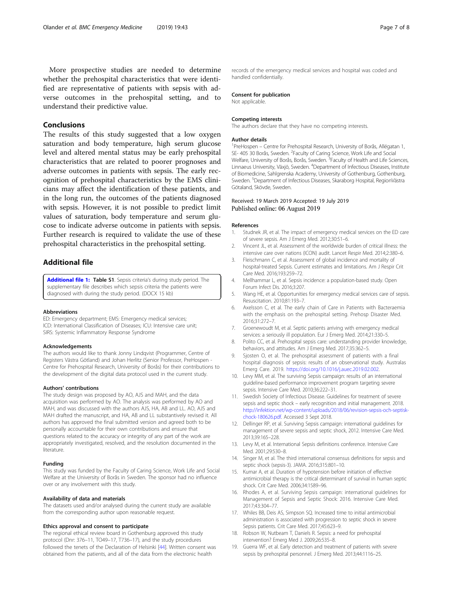<span id="page-6-0"></span>More prospective studies are needed to determine whether the prehospital characteristics that were identified are representative of patients with sepsis with adverse outcomes in the prehospital setting, and to understand their predictive value.

## Conclusions

The results of this study suggested that a low oxygen saturation and body temperature, high serum glucose level and altered mental status may be early prehospital characteristics that are related to poorer prognoses and adverse outcomes in patients with sepsis. The early recognition of prehospital characteristics by the EMS clinicians may affect the identification of these patients, and in the long run, the outcomes of the patients diagnosed with sepsis. However, it is not possible to predict limit values of saturation, body temperature and serum glucose to indicate adverse outcome in patients with sepsis. Further research is required to validate the use of these prehospital characteristics in the prehospital setting.

## Additional file

[Additional file 1:](https://doi.org/10.1186/s12873-019-0255-0) Table S1. Sepsis criteria's during study period. The supplementary file describes which sepsis criteria the patients were diagnosed with during the study period. (DOCX 15 kb)

#### Abbreviations

ED: Emergency department; EMS: Emergency medical services; ICD: International Classification of Diseases; ICU: Intensive care unit; SIRS: Systemic Inflammatory Response Syndrome

#### Acknowledgements

The authors would like to thank Jonny Lindqvist (Programmer, Centre of Registers Västra Götland) and Johan Herlitz (Senior Professor, PreHospen - Centre for Prehospital Research, University of Borås) for their contributions to the development of the digital data protocol used in the current study.

## Authors' contributions

The study design was proposed by AO, AJS and MAH, and the data acquisition was performed by AO. The analysis was performed by AO and MAH, and was discussed with the authors AJS, HA, AB and LL. AO, AJS and MAH drafted the manuscript, and HA, AB and LL substantively revised it. All authors has approved the final submitted version and agreed both to be personally accountable for their own contributions and ensure that questions related to the accuracy or integrity of any part of the work are appropriately investigated, resolved, and the resolution documented in the literature.

#### Funding

This study was funded by the Faculty of Caring Science, Work Life and Social Welfare at the University of Borås in Sweden. The sponsor had no influence over or any involvement with this study.

#### Availability of data and materials

The datasets used and/or analysed during the current study are available from the corresponding author upon reasonable request.

#### Ethics approval and consent to participate

The regional ethical review board in Gothenburg approved this study protocol (Dnr: 376–11, TO49–17, T736–17), and the study procedures followed the tenets of the Declaration of Helsinki [[44\]](#page-7-0). Written consent was obtained from the patients, and all of the data from the electronic health

records of the emergency medical services and hospital was coded and handled confidentially.

#### Consent for publication

Not applicable.

#### Competing interests

The authors declare that they have no competing interests.

#### Author details

<sup>1</sup> PreHospen – Centre for Prehospital Research, University of Borås, Allégatan 1, SE- 405 30 Borås, Sweden. <sup>2</sup> Faculty of Caring Science, Work Life and Social Welfare, University of Borås, Borås, Sweden. <sup>3</sup> Faculty of Health and Life Sciences, Linnaeus University, Växjö, Sweden. <sup>4</sup>Department of Infectious Diseases, Institute of Biomedicine, Sahlgrenska Academy, University of Gothenburg, Gothenburg, Sweden. <sup>5</sup>Department of Infectious Diseases, Skaraborg Hospital, RegionVästra Götaland, Skövde, Sweden.

#### Received: 19 March 2019 Accepted: 19 July 2019 Published online: 06 August 2019

#### References

- 1. Studnek JR, et al. The impact of emergency medical services on the ED care of severe sepsis. Am J Emerg Med. 2012;30:51–6.
- 2. Vincent JL, et al. Assessment of the worldwide burden of critical illness: the intensive care over nations (ICON) audit. Lancet Respir Med. 2014;2:380–6.
- 3. Fleischmann C, et al. Assessment of global incidence and mortality of hospital-treated Sepsis. Current estimates and limitations. Am J Respir Crit Care Med. 2016;193:259–72.
- 4. Mellhammar L, et al. Sepsis incidence: a population-based study. Open Forum Infect Dis. 2016;3:207.
- 5. Wang HE, et al. Opportunities for emergency medical services care of sepsis. Resuscitation. 2010;81:193–7.
- 6. Axelsson C, et al. The early chain of Care in Patients with Bacteraemia with the emphasis on the prehospital setting. Prehosp Disaster Med. 2016;31:272–7.
- 7. Groenewoudt M, et al. Septic patients arriving with emergency medical services: a seriously ill population. Eur J Emerg Med. 2014;21:330–5.
- 8. Polito CC, et al. Prehospital sepsis care: understanding provider knowledge, behaviors, and attitudes. Am J Emerg Med. 2017;35:362–5.
- 9. Sjosten O, et al. The prehospital assessment of patients with a final hospital diagnosis of sepsis: results of an observational study. Australas Emerg Care. 2019. <https://doi.org/10.1016/j.auec.2019.02.002>.
- 10. Levy MM, et al. The surviving Sepsis campaign: results of an international guideline-based performance improvement program targeting severe sepsis. Intensive Care Med. 2010;36:222–31.
- 11. Swedish Society of Infectious Disease. Guidelines for treatment of severe sepsis and septic shock – early recognition and initial management. 2018. [http://infektion.net/wp-content/uploads/2018/06/revision-sepsis-och-septisk](http://infektion.net/wp-content/uploads/2018/06/revision-sepsis-och-septisk-chock-180626.pdf)[chock-180626.pdf.](http://infektion.net/wp-content/uploads/2018/06/revision-sepsis-och-septisk-chock-180626.pdf) Accessed 3 Sept 2018.
- 12. Dellinger RP, et al. Surviving Sepsis campaign: international guidelines for management of severe sepsis and septic shock, 2012. Intensive Care Med. 2013;39:165–228.
- 13. Levy M, et al. International Sepsis definitions conference. Intensive Care Med. 2001;29:530–8.
- 14. Singer M, et al. The third international consensus definitions for sepsis and septic shock (sepsis-3). JAMA. 2016;315:801–10.
- 15. Kumar A, et al. Duration of hypotension before initiation of effective antimicrobial therapy is the critical determinant of survival in human septic shock. Crit Care Med. 2006;34:1589–96.
- 16. Rhodes A, et al. Surviving Sepsis campaign: international guidelines for Management of Sepsis and Septic Shock: 2016. Intensive Care Med. 2017;43:304–77.
- 17. Whiles BB, Deis AS, Simpson SQ. Increased time to initial antimicrobial administration is associated with progression to septic shock in severe Sepsis patients. Crit Care Med. 2017;45:623–9.
- 18. Robson W, Nutbeam T, Daniels R. Sepsis: a need for prehospital intervention? Emerg Med J. 2009;26:535–8.
- 19. Guerra WF, et al. Early detection and treatment of patients with severe sepsis by prehospital personnel. J Emerg Med. 2013;44:1116–25.